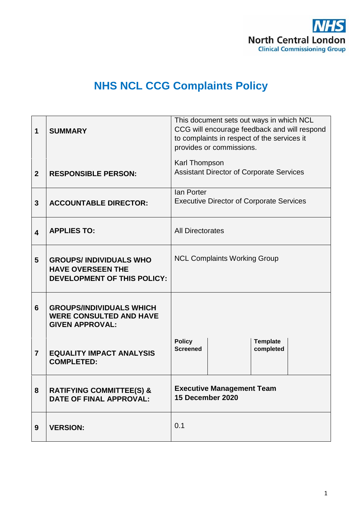

# **NHS NCL CCG Complaints Policy**

| 1                       | <b>SUMMARY</b>                                                                                  | This document sets out ways in which NCL<br>CCG will encourage feedback and will respond<br>to complaints in respect of the services it<br>provides or commissions. |  |  |
|-------------------------|-------------------------------------------------------------------------------------------------|---------------------------------------------------------------------------------------------------------------------------------------------------------------------|--|--|
| $\overline{2}$          | <b>RESPONSIBLE PERSON:</b>                                                                      | Karl Thompson<br><b>Assistant Director of Corporate Services</b>                                                                                                    |  |  |
| 3                       | <b>ACCOUNTABLE DIRECTOR:</b>                                                                    | lan Porter<br><b>Executive Director of Corporate Services</b>                                                                                                       |  |  |
| $\overline{\mathbf{4}}$ | <b>APPLIES TO:</b>                                                                              | <b>All Directorates</b>                                                                                                                                             |  |  |
| 5                       | <b>GROUPS/INDIVIDUALS WHO</b><br><b>HAVE OVERSEEN THE</b><br><b>DEVELOPMENT OF THIS POLICY:</b> | <b>NCL Complaints Working Group</b>                                                                                                                                 |  |  |
| 6                       | <b>GROUPS/INDIVIDUALS WHICH</b><br><b>WERE CONSULTED AND HAVE</b><br><b>GIVEN APPROVAL:</b>     |                                                                                                                                                                     |  |  |
| $\overline{7}$          | <b>EQUALITY IMPACT ANALYSIS</b><br><b>COMPLETED:</b>                                            | <b>Policy</b><br><b>Template</b><br><b>Screened</b><br>completed                                                                                                    |  |  |
| 8                       | <b>RATIFYING COMMITTEE(S) &amp;</b><br><b>DATE OF FINAL APPROVAL:</b>                           | <b>Executive Management Team</b><br>15 December 2020                                                                                                                |  |  |
| 9                       | <b>VERSION:</b>                                                                                 | 0.1                                                                                                                                                                 |  |  |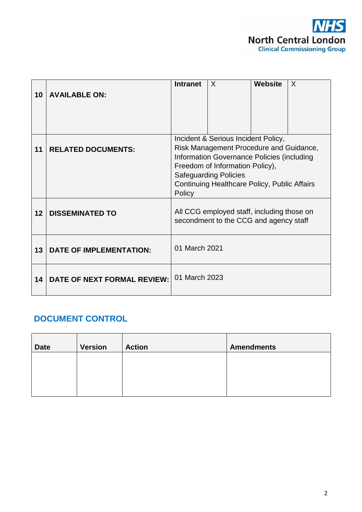

|    |                                    | <b>Intranet</b>                                                                       | $\sf X$                                                                              | <b>Website</b> | $\times$ |
|----|------------------------------------|---------------------------------------------------------------------------------------|--------------------------------------------------------------------------------------|----------------|----------|
| 10 | <b>AVAILABLE ON:</b>               |                                                                                       |                                                                                      |                |          |
|    |                                    |                                                                                       |                                                                                      |                |          |
|    |                                    |                                                                                       |                                                                                      |                |          |
|    |                                    |                                                                                       | Incident & Serious Incident Policy,                                                  |                |          |
| 11 | <b>RELATED DOCUMENTS:</b>          | Risk Management Procedure and Guidance,<br>Information Governance Policies (including |                                                                                      |                |          |
|    |                                    | Freedom of Information Policy),                                                       |                                                                                      |                |          |
|    |                                    | <b>Safeguarding Policies</b>                                                          |                                                                                      |                |          |
|    |                                    | Continuing Healthcare Policy, Public Affairs<br>Policy                                |                                                                                      |                |          |
| 12 | <b>DISSEMINATED TO</b>             |                                                                                       | All CCG employed staff, including those on<br>secondment to the CCG and agency staff |                |          |
| 13 | <b>DATE OF IMPLEMENTATION:</b>     | 01 March 2021                                                                         |                                                                                      |                |          |
| 14 | <b>DATE OF NEXT FORMAL REVIEW:</b> | 01 March 2023                                                                         |                                                                                      |                |          |

# **DOCUMENT CONTROL**

| <b>Date</b> | <b>Version</b> | <b>Action</b> | <b>Amendments</b> |
|-------------|----------------|---------------|-------------------|
|             |                |               |                   |
|             |                |               |                   |
|             |                |               |                   |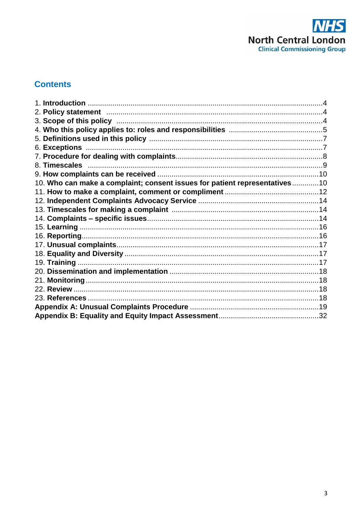

# **Contents**

| 10. Who can make a complaint; consent issues for patient representatives10 |  |
|----------------------------------------------------------------------------|--|
|                                                                            |  |
|                                                                            |  |
|                                                                            |  |
|                                                                            |  |
|                                                                            |  |
|                                                                            |  |
|                                                                            |  |
|                                                                            |  |
|                                                                            |  |
|                                                                            |  |
|                                                                            |  |
|                                                                            |  |
|                                                                            |  |
|                                                                            |  |
|                                                                            |  |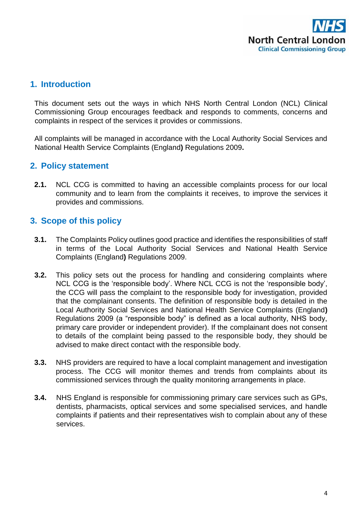

# **1. Introduction**

This document sets out the ways in which NHS North Central London (NCL) Clinical Commissioning Group encourages feedback and responds to comments, concerns and complaints in respect of the services it provides or commissions.

All complaints will be managed in accordance with the Local Authority Social Services and National Health Service Complaints (England**)** Regulations 2009**.** 

# **2. Policy statement**

**2.1.** NCL CCG is committed to having an accessible complaints process for our local community and to learn from the complaints it receives, to improve the services it provides and commissions.

## **3. Scope of this policy**

- **3.1.** The Complaints Policy outlines good practice and identifies the responsibilities of staff in terms of the Local Authority Social Services and National Health Service Complaints (England**)** Regulations 2009.
- **3.2.** This policy sets out the process for handling and considering complaints where NCL CCG is the 'responsible body'. Where NCL CCG is not the 'responsible body', the CCG will pass the complaint to the responsible body for investigation, provided that the complainant consents. The definition of responsible body is detailed in the Local Authority Social Services and National Health Service Complaints (England**)**  Regulations 2009 (a "responsible body" is defined as a local authority, NHS body, primary care provider or independent provider). If the complainant does not consent to details of the complaint being passed to the responsible body, they should be advised to make direct contact with the responsible body.
- **3.3.** NHS providers are required to have a local complaint management and investigation process. The CCG will monitor themes and trends from complaints about its commissioned services through the quality monitoring arrangements in place.
- **3.4.** NHS England is responsible for commissioning primary care services such as GPs, dentists, pharmacists, optical services and some specialised services, and handle complaints if patients and their representatives wish to complain about any of these services.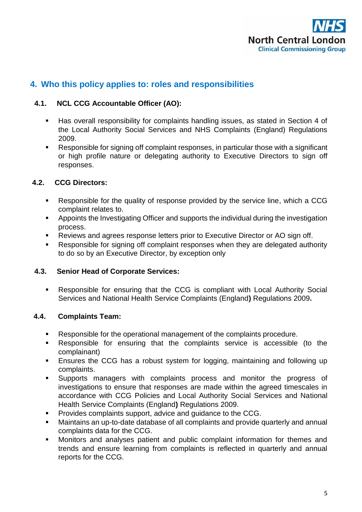

# **4. Who this policy applies to: roles and responsibilities**

#### **4.1. NCL CCG Accountable Officer (AO):**

- Has overall responsibility for complaints handling issues, as stated in Section 4 of the Local Authority Social Services and NHS Complaints (England) Regulations 2009.
- Responsible for signing off complaint responses, in particular those with a significant or high profile nature or delegating authority to Executive Directors to sign off responses.

#### **4.2. CCG Directors:**

- Responsible for the quality of response provided by the service line, which a CCG complaint relates to.
- Appoints the Investigating Officer and supports the individual during the investigation process.
- Reviews and agrees response letters prior to Executive Director or AO sign off.
- Responsible for signing off complaint responses when they are delegated authority to do so by an Executive Director, by exception only

#### **4.3. Senior Head of Corporate Services:**

 Responsible for ensuring that the CCG is compliant with Local Authority Social Services and National Health Service Complaints (England**)** Regulations 2009**.**

#### **4.4. Complaints Team:**

- Responsible for the operational management of the complaints procedure.
- Responsible for ensuring that the complaints service is accessible (to the complainant)
- **Ensures the CCG has a robust system for logging, maintaining and following up** complaints.
- Supports managers with complaints process and monitor the progress of investigations to ensure that responses are made within the agreed timescales in accordance with CCG Policies and Local Authority Social Services and National Health Service Complaints (England**)** Regulations 2009.
- Provides complaints support, advice and guidance to the CCG.
- Maintains an up-to-date database of all complaints and provide quarterly and annual complaints data for the CCG.
- Monitors and analyses patient and public complaint information for themes and trends and ensure learning from complaints is reflected in quarterly and annual reports for the CCG.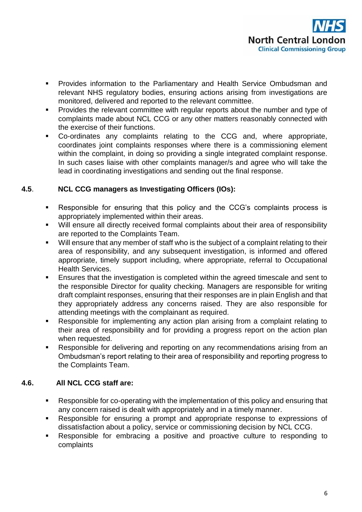

- **Provides information to the Parliamentary and Health Service Ombudsman and** relevant NHS regulatory bodies, ensuring actions arising from investigations are monitored, delivered and reported to the relevant committee.
- **Provides the relevant committee with regular reports about the number and type of** complaints made about NCL CCG or any other matters reasonably connected with the exercise of their functions.
- Co-ordinates any complaints relating to the CCG and, where appropriate, coordinates joint complaints responses where there is a commissioning element within the complaint, in doing so providing a single integrated complaint response. In such cases liaise with other complaints manager/s and agree who will take the lead in coordinating investigations and sending out the final response.

#### **4.5**. **NCL CCG managers as Investigating Officers (IOs):**

- Responsible for ensuring that this policy and the CCG's complaints process is appropriately implemented within their areas.
- Will ensure all directly received formal complaints about their area of responsibility are reported to the Complaints Team.
- Will ensure that any member of staff who is the subject of a complaint relating to their area of responsibility, and any subsequent investigation, is informed and offered appropriate, timely support including, where appropriate, referral to Occupational Health Services.
- Ensures that the investigation is completed within the agreed timescale and sent to the responsible Director for quality checking. Managers are responsible for writing draft complaint responses, ensuring that their responses are in plain English and that they appropriately address any concerns raised. They are also responsible for attending meetings with the complainant as required.
- Responsible for implementing any action plan arising from a complaint relating to their area of responsibility and for providing a progress report on the action plan when requested.
- Responsible for delivering and reporting on any recommendations arising from an Ombudsman's report relating to their area of responsibility and reporting progress to the Complaints Team.

## **4.6. All NCL CCG staff are:**

- Responsible for co-operating with the implementation of this policy and ensuring that any concern raised is dealt with appropriately and in a timely manner.
- Responsible for ensuring a prompt and appropriate response to expressions of dissatisfaction about a policy, service or commissioning decision by NCL CCG.
- Responsible for embracing a positive and proactive culture to responding to complaints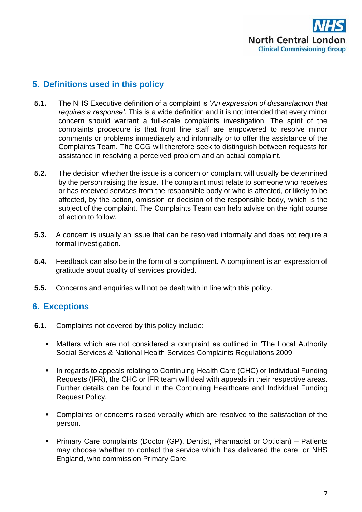

# **5. Definitions used in this policy**

- **5.1.** The NHS Executive definition of a complaint is '*An expression of dissatisfaction that requires a response'*. This is a wide definition and it is not intended that every minor concern should warrant a full-scale complaints investigation. The spirit of the complaints procedure is that front line staff are empowered to resolve minor comments or problems immediately and informally or to offer the assistance of the Complaints Team. The CCG will therefore seek to distinguish between requests for assistance in resolving a perceived problem and an actual complaint.
- **5.2.** The decision whether the issue is a concern or complaint will usually be determined by the person raising the issue. The complaint must relate to someone who receives or has received services from the responsible body or who is affected, or likely to be affected, by the action, omission or decision of the responsible body, which is the subject of the complaint. The Complaints Team can help advise on the right course of action to follow.
- **5.3.** A concern is usually an issue that can be resolved informally and does not require a formal investigation.
- **5.4.** Feedback can also be in the form of a compliment. A compliment is an expression of gratitude about quality of services provided.
- **5.5.** Concerns and enquiries will not be dealt with in line with this policy.

# **6. Exceptions**

- **6.1.** Complaints not covered by this policy include:
	- Matters which are not considered a complaint as outlined in 'The Local Authority Social Services & National Health Services Complaints Regulations 2009
	- In regards to appeals relating to Continuing Health Care (CHC) or Individual Funding Requests (IFR), the CHC or IFR team will deal with appeals in their respective areas. Further details can be found in the Continuing Healthcare and Individual Funding Request Policy.
	- Complaints or concerns raised verbally which are resolved to the satisfaction of the person.
	- Primary Care complaints (Doctor (GP), Dentist, Pharmacist or Optician) Patients may choose whether to contact the service which has delivered the care, or NHS England, who commission Primary Care.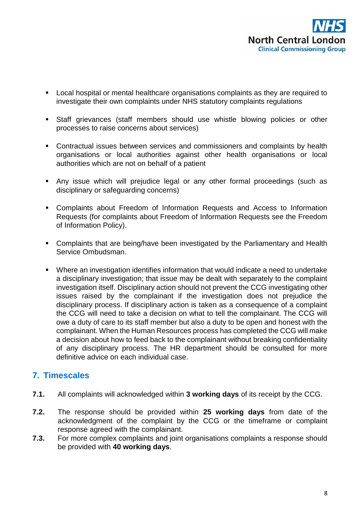

- Local hospital or mental healthcare organisations complaints as they are required to investigate their own complaints under NHS statutory complaints regulations
- Staff grievances (staff members should use whistle blowing policies or other processes to raise concerns about services)
- Contractual issues between services and commissioners and complaints by health organisations or local authorities against other health organisations or local authorities which are not on behalf of a patient
- Any issue which will prejudice legal or any other formal proceedings (such as disciplinary or safeguarding concerns)
- Complaints about Freedom of Information Requests and Access to Information Requests (for complaints about Freedom of Information Requests see the Freedom of Information Policy).
- Complaints that are being/have been investigated by the Parliamentary and Health Service Ombudsman.
- Where an investigation identifies information that would indicate a need to undertake a disciplinary investigation; that issue may be dealt with separately to the complaint investigation itself. Disciplinary action should not prevent the CCG investigating other issues raised by the complainant if the investigation does not prejudice the disciplinary process. If disciplinary action is taken as a consequence of a complaint the CCG will need to take a decision on what to tell the complainant. The CCG will owe a duty of care to its staff member but also a duty to be open and honest with the complainant. When the Human Resources process has completed the CCG will make a decision about how to feed back to the complainant without breaking confidentiality of any disciplinary process. The HR department should be consulted for more definitive advice on each individual case.

# **7. Timescales**

- **7.1.** All complaints will acknowledged within **3 working days** of its receipt by the CCG.
- **7.2.** The response should be provided within **25 working days** from date of the acknowledgment of the complaint by the CCG or the timeframe or complaint response agreed with the complainant.
- **7.3.** For more complex complaints and joint organisations complaints a response should be provided with **40 working days**.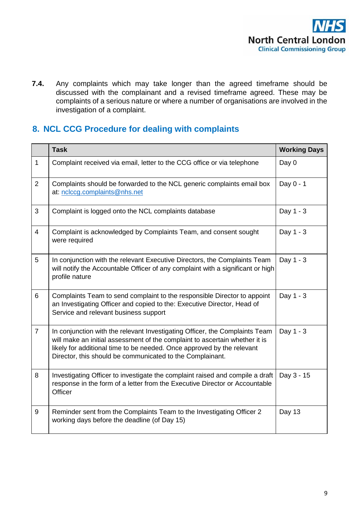

**7.4.** Any complaints which may take longer than the agreed timeframe should be discussed with the complainant and a revised timeframe agreed. These may be complaints of a serious nature or where a number of organisations are involved in the investigation of a complaint.

# **8. NCL CCG Procedure for dealing with complaints**

|                | <b>Task</b>                                                                                                                                                                                                                                                                                       | <b>Working Days</b> |
|----------------|---------------------------------------------------------------------------------------------------------------------------------------------------------------------------------------------------------------------------------------------------------------------------------------------------|---------------------|
| $\mathbf{1}$   | Complaint received via email, letter to the CCG office or via telephone                                                                                                                                                                                                                           | Day 0               |
| 2              | Complaints should be forwarded to the NCL generic complaints email box<br>at: nclccg.complaints@nhs.net                                                                                                                                                                                           | Day 0 - 1           |
| 3              | Complaint is logged onto the NCL complaints database                                                                                                                                                                                                                                              | Day 1 - 3           |
| $\overline{4}$ | Complaint is acknowledged by Complaints Team, and consent sought<br>were required                                                                                                                                                                                                                 | Day 1 - 3           |
| 5              | In conjunction with the relevant Executive Directors, the Complaints Team<br>will notify the Accountable Officer of any complaint with a significant or high<br>profile nature                                                                                                                    | Day 1 - 3           |
| 6              | Complaints Team to send complaint to the responsible Director to appoint<br>an Investigating Officer and copied to the: Executive Director, Head of<br>Service and relevant business support                                                                                                      | Day 1 - 3           |
| $\overline{7}$ | In conjunction with the relevant Investigating Officer, the Complaints Team<br>will make an initial assessment of the complaint to ascertain whether it is<br>likely for additional time to be needed. Once approved by the relevant<br>Director, this should be communicated to the Complainant. | Day 1 - 3           |
| 8              | Investigating Officer to investigate the complaint raised and compile a draft<br>response in the form of a letter from the Executive Director or Accountable<br>Officer                                                                                                                           | Day 3 - 15          |
| 9              | Reminder sent from the Complaints Team to the Investigating Officer 2<br>working days before the deadline (of Day 15)                                                                                                                                                                             | Day 13              |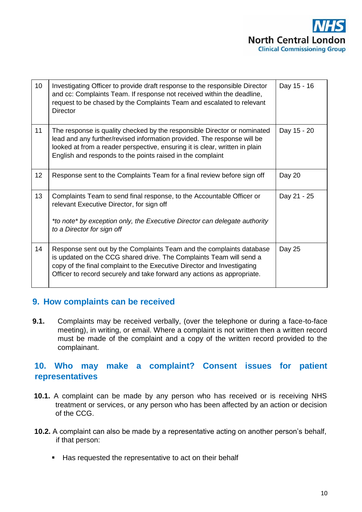

| 10 <sup>°</sup> | Investigating Officer to provide draft response to the responsible Director<br>and cc: Complaints Team. If response not received within the deadline,<br>request to be chased by the Complaints Team and escalated to relevant<br><b>Director</b>                                                 | Day 15 - 16 |
|-----------------|---------------------------------------------------------------------------------------------------------------------------------------------------------------------------------------------------------------------------------------------------------------------------------------------------|-------------|
| 11              | The response is quality checked by the responsible Director or nominated<br>lead and any further/revised information provided. The response will be<br>looked at from a reader perspective, ensuring it is clear, written in plain<br>English and responds to the points raised in the complaint  | Day 15 - 20 |
| 12              | Response sent to the Complaints Team for a final review before sign off                                                                                                                                                                                                                           | Day 20      |
| 13              | Complaints Team to send final response, to the Accountable Officer or<br>relevant Executive Director, for sign off<br>*to note* by exception only, the Executive Director can delegate authority<br>to a Director for sign off                                                                    | Day 21 - 25 |
| 14              | Response sent out by the Complaints Team and the complaints database<br>is updated on the CCG shared drive. The Complaints Team will send a<br>copy of the final complaint to the Executive Director and Investigating<br>Officer to record securely and take forward any actions as appropriate. | Day 25      |

## **9. How complaints can be received**

**9.1.** Complaints may be received verbally, (over the telephone or during a face-to-face meeting), in writing, or email. Where a complaint is not written then a written record must be made of the complaint and a copy of the written record provided to the complainant.

# **10. Who may make a complaint? Consent issues for patient representatives**

- **10.1.** A complaint can be made by any person who has received or is receiving NHS treatment or services, or any person who has been affected by an action or decision of the CCG.
- **10.2.** A complaint can also be made by a representative acting on another person's behalf, if that person:
	- Has requested the representative to act on their behalf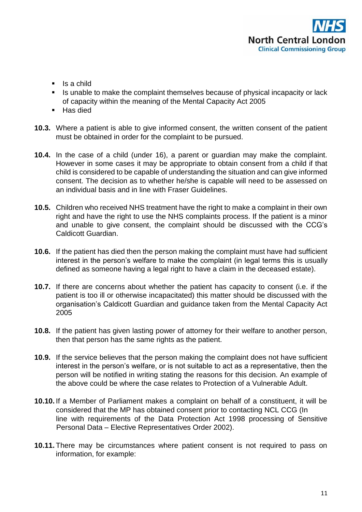

- $\blacksquare$  Is a child
- If Is unable to make the complaint themselves because of physical incapacity or lack of capacity within the meaning of the Mental Capacity Act 2005
- Has died
- **10.3.** Where a patient is able to give informed consent, the written consent of the patient must be obtained in order for the complaint to be pursued.
- **10.4.** In the case of a child (under 16), a parent or guardian may make the complaint. However in some cases it may be appropriate to obtain consent from a child if that child is considered to be capable of understanding the situation and can give informed consent. The decision as to whether he/she is capable will need to be assessed on an individual basis and in line with Fraser Guidelines.
- **10.5.** Children who received NHS treatment have the right to make a complaint in their own right and have the right to use the NHS complaints process. If the patient is a minor and unable to give consent, the complaint should be discussed with the CCG's Caldicott Guardian.
- **10.6.** If the patient has died then the person making the complaint must have had sufficient interest in the person's welfare to make the complaint (in legal terms this is usually defined as someone having a legal right to have a claim in the deceased estate).
- **10.7.** If there are concerns about whether the patient has capacity to consent (i.e. if the patient is too ill or otherwise incapacitated) this matter should be discussed with the organisation's Caldicott Guardian and guidance taken from the Mental Capacity Act 2005
- **10.8.** If the patient has given lasting power of attorney for their welfare to another person, then that person has the same rights as the patient.
- **10.9.** If the service believes that the person making the complaint does not have sufficient interest in the person's welfare, or is not suitable to act as a representative, then the person will be notified in writing stating the reasons for this decision. An example of the above could be where the case relates to Protection of a Vulnerable Adult.
- **10.10.** If a Member of Parliament makes a complaint on behalf of a constituent, it will be considered that the MP has obtained consent prior to contacting NCL CCG (In line with requirements of the Data Protection Act 1998 processing of Sensitive Personal Data – Elective Representatives Order 2002).
- **10.11.** There may be circumstances where patient consent is not required to pass on information, for example: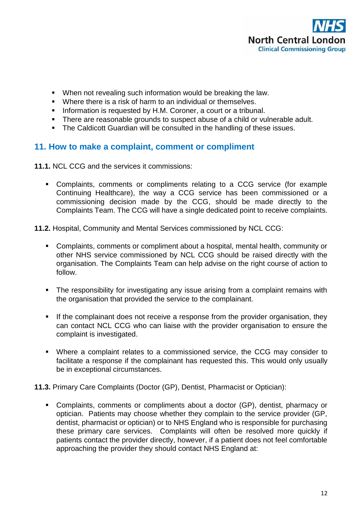

- When not revealing such information would be breaking the law.
- Where there is a risk of harm to an individual or themselves.
- **Information is requested by H.M. Coroner, a court or a tribunal.**
- There are reasonable grounds to suspect abuse of a child or vulnerable adult.
- The Caldicott Guardian will be consulted in the handling of these issues.

# **11. How to make a complaint, comment or compliment**

**11.1.** NCL CCG and the services it commissions:

 Complaints, comments or compliments relating to a CCG service (for example Continuing Healthcare), the way a CCG service has been commissioned or a commissioning decision made by the CCG, should be made directly to the Complaints Team. The CCG will have a single dedicated point to receive complaints.

**11.2.** Hospital, Community and Mental Services commissioned by NCL CCG:

- Complaints, comments or compliment about a hospital, mental health, community or other NHS service commissioned by NCL CCG should be raised directly with the organisation. The Complaints Team can help advise on the right course of action to follow.
- The responsibility for investigating any issue arising from a complaint remains with the organisation that provided the service to the complainant.
- If the complainant does not receive a response from the provider organisation, they can contact NCL CCG who can liaise with the provider organisation to ensure the complaint is investigated.
- Where a complaint relates to a commissioned service, the CCG may consider to facilitate a response if the complainant has requested this. This would only usually be in exceptional circumstances.
- **11.3.** Primary Care Complaints (Doctor (GP), Dentist, Pharmacist or Optician):
	- Complaints, comments or compliments about a doctor (GP), dentist, pharmacy or optician. Patients may choose whether they complain to the service provider (GP, dentist, pharmacist or optician) or to NHS England who is responsible for purchasing these primary care services. Complaints will often be resolved more quickly if patients contact the provider directly, however, if a patient does not feel comfortable approaching the provider they should contact NHS England at: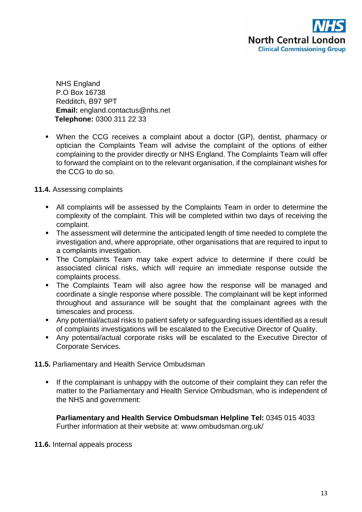

NHS England P.O Box 16738 Redditch, B97 9PT **Email:** england.contactus@nhs.net **Telephone:** 0300 311 22 33

 When the CCG receives a complaint about a doctor (GP), dentist, pharmacy or optician the Complaints Team will advise the complaint of the options of either complaining to the provider directly or NHS England. The Complaints Team will offer to forward the complaint on to the relevant organisation, if the complainant wishes for the CCG to do so.

#### **11.4.** Assessing complaints

- All complaints will be assessed by the Complaints Team in order to determine the complexity of the complaint. This will be completed within two days of receiving the complaint.
- The assessment will determine the anticipated length of time needed to complete the investigation and, where appropriate, other organisations that are required to input to a complaints investigation.
- The Complaints Team may take expert advice to determine if there could be associated clinical risks, which will require an immediate response outside the complaints process.
- The Complaints Team will also agree how the response will be managed and coordinate a single response where possible. The complainant will be kept informed throughout and assurance will be sought that the complainant agrees with the timescales and process.
- Any potential/actual risks to patient safety or safeguarding issues identified as a result of complaints investigations will be escalated to the Executive Director of Quality.
- Any potential/actual corporate risks will be escalated to the Executive Director of Corporate Services.
- **11.5.** Parliamentary and Health Service Ombudsman
	- If the complainant is unhappy with the outcome of their complaint they can refer the matter to the Parliamentary and Health Service Ombudsman, who is independent of the NHS and government:

**Parliamentary and Health Service Ombudsman Helpline Tel:** 0345 015 4033 Further information at their website at: www.ombudsman.org.uk/

#### **11.6.** Internal appeals process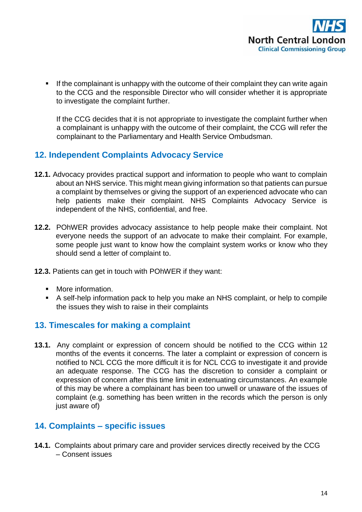If the complainant is unhappy with the outcome of their complaint they can write again to the CCG and the responsible Director who will consider whether it is appropriate to investigate the complaint further.

If the CCG decides that it is not appropriate to investigate the complaint further when a complainant is unhappy with the outcome of their complaint, the CCG will refer the complainant to the Parliamentary and Health Service Ombudsman.

# **12. Independent Complaints Advocacy Service**

- **12.1.** Advocacy provides practical support and information to people who want to complain about an NHS service. This might mean giving information so that patients can pursue a complaint by themselves or giving the support of an experienced advocate who can help patients make their complaint. NHS Complaints Advocacy Service is independent of the NHS, confidential, and free.
- **12.2.** POhWER provides advocacy assistance to help people make their complaint. Not everyone needs the support of an advocate to make their complaint. For example, some people just want to know how the complaint system works or know who they should send a letter of complaint to.
- **12.3.** Patients can get in touch with POhWER if they want:
	- **More information.**
	- A self-help information pack to help you make an NHS complaint, or help to compile the issues they wish to raise in their complaints

# **13. Timescales for making a complaint**

**13.1.** Any complaint or expression of concern should be notified to the CCG within 12 months of the events it concerns. The later a complaint or expression of concern is notified to NCL CCG the more difficult it is for NCL CCG to investigate it and provide an adequate response. The CCG has the discretion to consider a complaint or expression of concern after this time limit in extenuating circumstances. An example of this may be where a complainant has been too unwell or unaware of the issues of complaint (e.g. something has been written in the records which the person is only just aware of)

# **14. Complaints – specific issues**

**14.1.** Complaints about primary care and provider services directly received by the CCG – Consent issues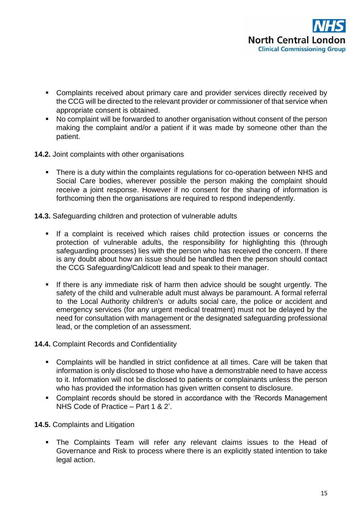

- Complaints received about primary care and provider services directly received by the CCG will be directed to the relevant provider or commissioner of that service when appropriate consent is obtained.
- No complaint will be forwarded to another organisation without consent of the person making the complaint and/or a patient if it was made by someone other than the patient.
- **14.2.** Joint complaints with other organisations
	- **There is a duty within the complaints regulations for co-operation between NHS and** Social Care bodies, wherever possible the person making the complaint should receive a joint response. However if no consent for the sharing of information is forthcoming then the organisations are required to respond independently.
- **14.3.** Safeguarding children and protection of vulnerable adults
	- If a complaint is received which raises child protection issues or concerns the protection of vulnerable adults, the responsibility for highlighting this (through safeguarding processes) lies with the person who has received the concern. If there is any doubt about how an issue should be handled then the person should contact the CCG Safeguarding/Caldicott lead and speak to their manager.
	- If there is any immediate risk of harm then advice should be sought urgently. The safety of the child and vulnerable adult must always be paramount. A formal referral to the Local Authority children's or adults social care, the police or accident and emergency services (for any urgent medical treatment) must not be delayed by the need for consultation with management or the designated safeguarding professional lead, or the completion of an assessment.
- **14.4.** Complaint Records and Confidentiality
	- Complaints will be handled in strict confidence at all times. Care will be taken that information is only disclosed to those who have a demonstrable need to have access to it. Information will not be disclosed to patients or complainants unless the person who has provided the information has given written consent to disclosure.
	- Complaint records should be stored in accordance with the 'Records Management NHS Code of Practice – Part 1 & 2'.
- **14.5.** Complaints and Litigation
	- The Complaints Team will refer any relevant claims issues to the Head of Governance and Risk to process where there is an explicitly stated intention to take legal action.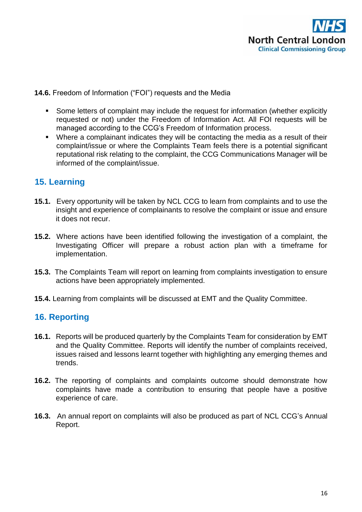

#### **14.6.** Freedom of Information ("FOI") requests and the Media

- Some letters of complaint may include the request for information (whether explicitly requested or not) under the Freedom of Information Act. All FOI requests will be managed according to the CCG's Freedom of Information process.
- Where a complainant indicates they will be contacting the media as a result of their complaint/issue or where the Complaints Team feels there is a potential significant reputational risk relating to the complaint, the CCG Communications Manager will be informed of the complaint/issue.

# **15. Learning**

- **15.1.** Every opportunity will be taken by NCL CCG to learn from complaints and to use the insight and experience of complainants to resolve the complaint or issue and ensure it does not recur.
- **15.2.** Where actions have been identified following the investigation of a complaint, the Investigating Officer will prepare a robust action plan with a timeframe for implementation.
- **15.3.** The Complaints Team will report on learning from complaints investigation to ensure actions have been appropriately implemented.
- **15.4.** Learning from complaints will be discussed at EMT and the Quality Committee.

# **16. Reporting**

- **16.1.** Reports will be produced quarterly by the Complaints Team for consideration by EMT and the Quality Committee. Reports will identify the number of complaints received, issues raised and lessons learnt together with highlighting any emerging themes and trends.
- **16.2.** The reporting of complaints and complaints outcome should demonstrate how complaints have made a contribution to ensuring that people have a positive experience of care.
- **16.3.** An annual report on complaints will also be produced as part of NCL CCG's Annual Report.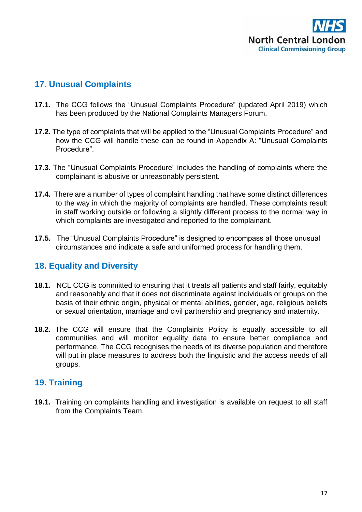

# **17. Unusual Complaints**

- **17.1.** The CCG follows the "Unusual Complaints Procedure" (updated April 2019) which has been produced by the National Complaints Managers Forum.
- **17.2.** The type of complaints that will be applied to the "Unusual Complaints Procedure" and how the CCG will handle these can be found in Appendix A: "Unusual Complaints Procedure".
- **17.3.** The "Unusual Complaints Procedure" includes the handling of complaints where the complainant is abusive or unreasonably persistent.
- **17.4.** There are a number of types of complaint handling that have some distinct differences to the way in which the majority of complaints are handled. These complaints result in staff working outside or following a slightly different process to the normal way in which complaints are investigated and reported to the complainant.
- **17.5.** The "Unusual Complaints Procedure" is designed to encompass all those unusual circumstances and indicate a safe and uniformed process for handling them.

## **18. Equality and Diversity**

- **18.1.** NCL CCG is committed to ensuring that it treats all patients and staff fairly, equitably and reasonably and that it does not discriminate against individuals or groups on the basis of their ethnic origin, physical or mental abilities, gender, age, religious beliefs or sexual orientation, marriage and civil partnership and pregnancy and maternity.
- **18.2.** The CCG will ensure that the Complaints Policy is equally accessible to all communities and will monitor equality data to ensure better compliance and performance. The CCG recognises the needs of its diverse population and therefore will put in place measures to address both the linguistic and the access needs of all groups.

## **19. Training**

**19.1.** Training on complaints handling and investigation is available on request to all staff from the Complaints Team.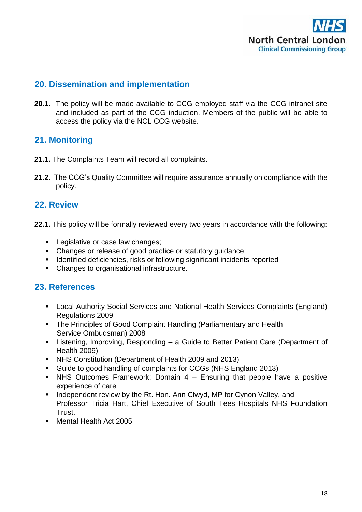

## **20. Dissemination and implementation**

**20.1.** The policy will be made available to CCG employed staff via the CCG intranet site and included as part of the CCG induction. Members of the public will be able to access the policy via the NCL CCG website.

# **21. Monitoring**

- **21.1.** The Complaints Team will record all complaints.
- **21.2.** The CCG's Quality Committee will require assurance annually on compliance with the policy.

# **22. Review**

- **22.1.** This policy will be formally reviewed every two years in accordance with the following:
	- **Legislative or case law changes;**
	- Changes or release of good practice or statutory guidance;
	- **IDENTIFIED 19** Identified deficiencies, risks or following significant incidents reported
	- Changes to organisational infrastructure.

# **23. References**

- **EXECT** Local Authority Social Services and National Health Services Complaints (England) Regulations 2009
- The Principles of Good Complaint Handling (Parliamentary and Health Service Ombudsman) 2008
- Listening, Improving, Responding a Guide to Better Patient Care (Department of Health 2009)
- NHS Constitution (Department of Health 2009 and 2013)
- Guide to good handling of complaints for CCGs (NHS England 2013)
- $\blacksquare$  NHS Outcomes Framework: Domain 4 Ensuring that people have a positive experience of care
- **Independent review by the Rt. Hon. Ann Clwyd, MP for Cynon Valley, and** Professor Tricia Hart, Chief Executive of South Tees Hospitals NHS Foundation Trust.
- Mental Health Act 2005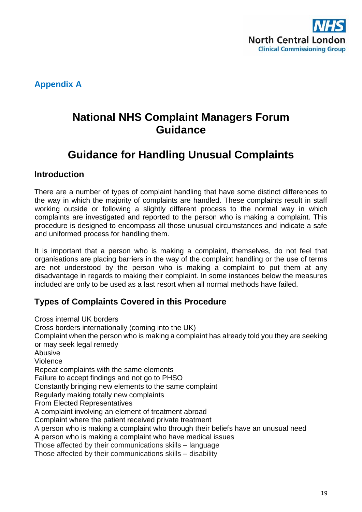

**Appendix A** 

# **National NHS Complaint Managers Forum Guidance**

# **Guidance for Handling Unusual Complaints**

## **Introduction**

There are a number of types of complaint handling that have some distinct differences to the way in which the majority of complaints are handled. These complaints result in staff working outside or following a slightly different process to the normal way in which complaints are investigated and reported to the person who is making a complaint. This procedure is designed to encompass all those unusual circumstances and indicate a safe and uniformed process for handling them.

It is important that a person who is making a complaint, themselves, do not feel that organisations are placing barriers in the way of the complaint handling or the use of terms are not understood by the person who is making a complaint to put them at any disadvantage in regards to making their complaint. In some instances below the measures included are only to be used as a last resort when all normal methods have failed.

# **Types of Complaints Covered in this Procedure**

Cross internal UK borders Cross borders internationally (coming into the UK) Complaint when the person who is making a complaint has already told you they are seeking or may seek legal remedy Abusive Violence Repeat complaints with the same elements Failure to accept findings and not go to PHSO Constantly bringing new elements to the same complaint Regularly making totally new complaints From Elected Representatives A complaint involving an element of treatment abroad Complaint where the patient received private treatment A person who is making a complaint who through their beliefs have an unusual need A person who is making a complaint who have medical issues Those affected by their communications skills – language Those affected by their communications skills – disability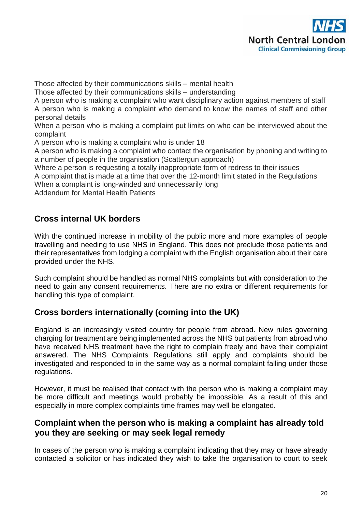

Those affected by their communications skills – mental health

Those affected by their communications skills – understanding

A person who is making a complaint who want disciplinary action against members of staff A person who is making a complaint who demand to know the names of staff and other personal details

When a person who is making a complaint put limits on who can be interviewed about the complaint

A person who is making a complaint who is under 18

A person who is making a complaint who contact the organisation by phoning and writing to a number of people in the organisation (Scattergun approach)

Where a person is requesting a totally inappropriate form of redress to their issues

A complaint that is made at a time that over the 12-month limit stated in the Regulations

When a complaint is long-winded and unnecessarily long

Addendum for Mental Health Patients

# **Cross internal UK borders**

With the continued increase in mobility of the public more and more examples of people travelling and needing to use NHS in England. This does not preclude those patients and their representatives from lodging a complaint with the English organisation about their care provided under the NHS.

Such complaint should be handled as normal NHS complaints but with consideration to the need to gain any consent requirements. There are no extra or different requirements for handling this type of complaint.

## **Cross borders internationally (coming into the UK)**

England is an increasingly visited country for people from abroad. New rules governing charging for treatment are being implemented across the NHS but patients from abroad who have received NHS treatment have the right to complain freely and have their complaint answered. The NHS Complaints Regulations still apply and complaints should be investigated and responded to in the same way as a normal complaint falling under those regulations.

However, it must be realised that contact with the person who is making a complaint may be more difficult and meetings would probably be impossible. As a result of this and especially in more complex complaints time frames may well be elongated.

# **Complaint when the person who is making a complaint has already told you they are seeking or may seek legal remedy**

In cases of the person who is making a complaint indicating that they may or have already contacted a solicitor or has indicated they wish to take the organisation to court to seek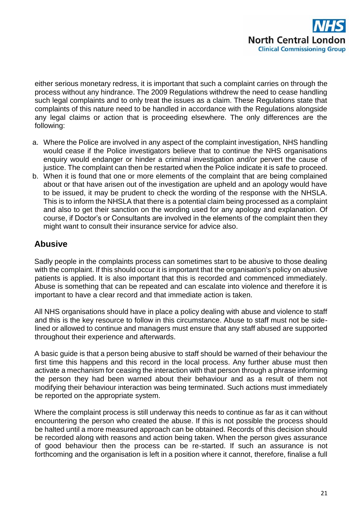

either serious monetary redress, it is important that such a complaint carries on through the process without any hindrance. The 2009 Regulations withdrew the need to cease handling such legal complaints and to only treat the issues as a claim. These Regulations state that complaints of this nature need to be handled in accordance with the Regulations alongside any legal claims or action that is proceeding elsewhere. The only differences are the following:

- a. Where the Police are involved in any aspect of the complaint investigation, NHS handling would cease if the Police investigators believe that to continue the NHS organisations enquiry would endanger or hinder a criminal investigation and/or pervert the cause of justice. The complaint can then be restarted when the Police indicate it is safe to proceed.
- b. When it is found that one or more elements of the complaint that are being complained about or that have arisen out of the investigation are upheld and an apology would have to be issued, it may be prudent to check the wording of the response with the NHSLA. This is to inform the NHSLA that there is a potential claim being processed as a complaint and also to get their sanction on the wording used for any apology and explanation. Of course, if Doctor's or Consultants are involved in the elements of the complaint then they might want to consult their insurance service for advice also.

# **Abusive**

Sadly people in the complaints process can sometimes start to be abusive to those dealing with the complaint. If this should occur it is important that the organisation's policy on abusive patients is applied. It is also important that this is recorded and commenced immediately. Abuse is something that can be repeated and can escalate into violence and therefore it is important to have a clear record and that immediate action is taken.

All NHS organisations should have in place a policy dealing with abuse and violence to staff and this is the key resource to follow in this circumstance. Abuse to staff must not be sidelined or allowed to continue and managers must ensure that any staff abused are supported throughout their experience and afterwards.

A basic guide is that a person being abusive to staff should be warned of their behaviour the first time this happens and this record in the local process. Any further abuse must then activate a mechanism for ceasing the interaction with that person through a phrase informing the person they had been warned about their behaviour and as a result of them not modifying their behaviour interaction was being terminated. Such actions must immediately be reported on the appropriate system.

Where the complaint process is still underway this needs to continue as far as it can without encountering the person who created the abuse. If this is not possible the process should be halted until a more measured approach can be obtained. Records of this decision should be recorded along with reasons and action being taken. When the person gives assurance of good behaviour then the process can be re-started. If such an assurance is not forthcoming and the organisation is left in a position where it cannot, therefore, finalise a full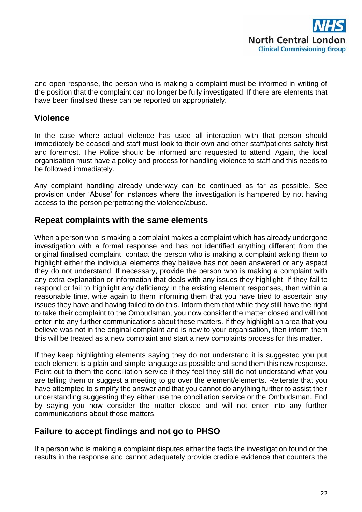

and open response, the person who is making a complaint must be informed in writing of the position that the complaint can no longer be fully investigated. If there are elements that have been finalised these can be reported on appropriately.

# **Violence**

In the case where actual violence has used all interaction with that person should immediately be ceased and staff must look to their own and other staff/patients safety first and foremost. The Police should be informed and requested to attend. Again, the local organisation must have a policy and process for handling violence to staff and this needs to be followed immediately.

Any complaint handling already underway can be continued as far as possible. See provision under 'Abuse' for instances where the investigation is hampered by not having access to the person perpetrating the violence/abuse.

## **Repeat complaints with the same elements**

When a person who is making a complaint makes a complaint which has already undergone investigation with a formal response and has not identified anything different from the original finalised complaint, contact the person who is making a complaint asking them to highlight either the individual elements they believe has not been answered or any aspect they do not understand. If necessary, provide the person who is making a complaint with any extra explanation or information that deals with any issues they highlight. If they fail to respond or fail to highlight any deficiency in the existing element responses, then within a reasonable time, write again to them informing them that you have tried to ascertain any issues they have and having failed to do this. Inform them that while they still have the right to take their complaint to the Ombudsman, you now consider the matter closed and will not enter into any further communications about these matters. If they highlight an area that you believe was not in the original complaint and is new to your organisation, then inform them this will be treated as a new complaint and start a new complaints process for this matter.

If they keep highlighting elements saying they do not understand it is suggested you put each element is a plain and simple language as possible and send them this new response. Point out to them the conciliation service if they feel they still do not understand what you are telling them or suggest a meeting to go over the element/elements. Reiterate that you have attempted to simplify the answer and that you cannot do anything further to assist their understanding suggesting they either use the conciliation service or the Ombudsman. End by saying you now consider the matter closed and will not enter into any further communications about those matters.

## **Failure to accept findings and not go to PHSO**

If a person who is making a complaint disputes either the facts the investigation found or the results in the response and cannot adequately provide credible evidence that counters the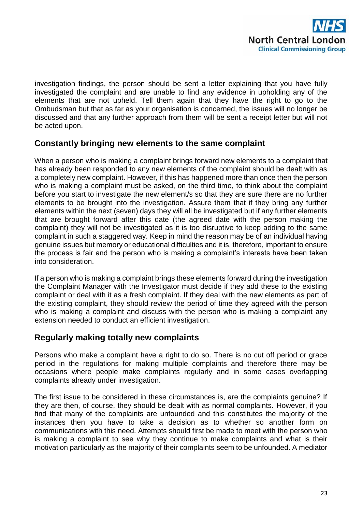

investigation findings, the person should be sent a letter explaining that you have fully investigated the complaint and are unable to find any evidence in upholding any of the elements that are not upheld. Tell them again that they have the right to go to the Ombudsman but that as far as your organisation is concerned, the issues will no longer be discussed and that any further approach from them will be sent a receipt letter but will not be acted upon.

# **Constantly bringing new elements to the same complaint**

When a person who is making a complaint brings forward new elements to a complaint that has already been responded to any new elements of the complaint should be dealt with as a completely new complaint. However, if this has happened more than once then the person who is making a complaint must be asked, on the third time, to think about the complaint before you start to investigate the new element/s so that they are sure there are no further elements to be brought into the investigation. Assure them that if they bring any further elements within the next (seven) days they will all be investigated but if any further elements that are brought forward after this date (the agreed date with the person making the complaint) they will not be investigated as it is too disruptive to keep adding to the same complaint in such a staggered way. Keep in mind the reason may be of an individual having genuine issues but memory or educational difficulties and it is, therefore, important to ensure the process is fair and the person who is making a complaint's interests have been taken into consideration.

If a person who is making a complaint brings these elements forward during the investigation the Complaint Manager with the Investigator must decide if they add these to the existing complaint or deal with it as a fresh complaint. If they deal with the new elements as part of the existing complaint, they should review the period of time they agreed with the person who is making a complaint and discuss with the person who is making a complaint any extension needed to conduct an efficient investigation.

## **Regularly making totally new complaints**

Persons who make a complaint have a right to do so. There is no cut off period or grace period in the regulations for making multiple complaints and therefore there may be occasions where people make complaints regularly and in some cases overlapping complaints already under investigation.

The first issue to be considered in these circumstances is, are the complaints genuine? If they are then, of course, they should be dealt with as normal complaints. However, if you find that many of the complaints are unfounded and this constitutes the majority of the instances then you have to take a decision as to whether so another form on communications with this need. Attempts should first be made to meet with the person who is making a complaint to see why they continue to make complaints and what is their motivation particularly as the majority of their complaints seem to be unfounded. A mediator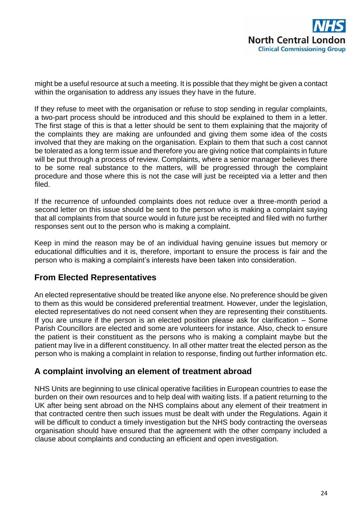

might be a useful resource at such a meeting. It is possible that they might be given a contact within the organisation to address any issues they have in the future.

If they refuse to meet with the organisation or refuse to stop sending in regular complaints, a two-part process should be introduced and this should be explained to them in a letter. The first stage of this is that a letter should be sent to them explaining that the majority of the complaints they are making are unfounded and giving them some idea of the costs involved that they are making on the organisation. Explain to them that such a cost cannot be tolerated as a long term issue and therefore you are giving notice that complaints in future will be put through a process of review. Complaints, where a senior manager believes there to be some real substance to the matters, will be progressed through the complaint procedure and those where this is not the case will just be receipted via a letter and then filed.

If the recurrence of unfounded complaints does not reduce over a three-month period a second letter on this issue should be sent to the person who is making a complaint saying that all complaints from that source would in future just be receipted and filed with no further responses sent out to the person who is making a complaint.

Keep in mind the reason may be of an individual having genuine issues but memory or educational difficulties and it is, therefore, important to ensure the process is fair and the person who is making a complaint's interests have been taken into consideration.

## **From Elected Representatives**

An elected representative should be treated like anyone else. No preference should be given to them as this would be considered preferential treatment. However, under the legislation, elected representatives do not need consent when they are representing their constituents. If you are unsure if the person is an elected position please ask for clarification – Some Parish Councillors are elected and some are volunteers for instance. Also, check to ensure the patient is their constituent as the persons who is making a complaint maybe but the patient may live in a different constituency. In all other matter treat the elected person as the person who is making a complaint in relation to response, finding out further information etc.

## **A complaint involving an element of treatment abroad**

NHS Units are beginning to use clinical operative facilities in European countries to ease the burden on their own resources and to help deal with waiting lists. If a patient returning to the UK after being sent abroad on the NHS complains about any element of their treatment in that contracted centre then such issues must be dealt with under the Regulations. Again it will be difficult to conduct a timely investigation but the NHS body contracting the overseas organisation should have ensured that the agreement with the other company included a clause about complaints and conducting an efficient and open investigation.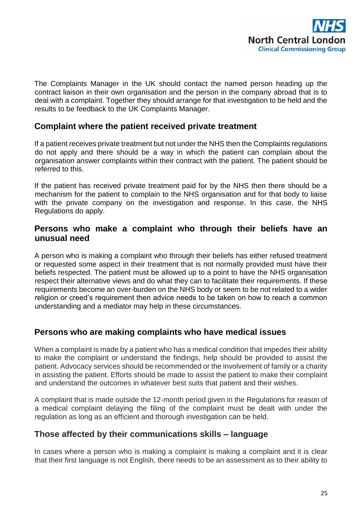

The Complaints Manager in the UK should contact the named person heading up the contract liaison in their own organisation and the person in the company abroad that is to deal with a complaint. Together they should arrange for that investigation to be held and the results to be feedback to the UK Complaints Manager.

#### **Complaint where the patient received private treatment**

If a patient receives private treatment but not under the NHS then the Complaints regulations do not apply and there should be a way in which the patient can complain about the organisation answer complaints within their contract with the patient. The patient should be referred to this.

If the patient has received private treatment paid for by the NHS then there should be a mechanism for the patient to complain to the NHS organisation and for that body to liaise with the private company on the investigation and response. In this case, the NHS Regulations do apply.

#### **Persons who make a complaint who through their beliefs have an unusual need**

A person who is making a complaint who through their beliefs has either refused treatment or requested some aspect in their treatment that is not normally provided must have their beliefs respected. The patient must be allowed up to a point to have the NHS organisation respect their alternative views and do what they can to facilitate their requirements. If these requirements become an over-burden on the NHS body or seem to be not related to a wider religion or creed's requirement then advice needs to be taken on how to reach a common understanding and a mediator may help in these circumstances.

## **Persons who are making complaints who have medical issues**

When a complaint is made by a patient who has a medical condition that impedes their ability to make the complaint or understand the findings, help should be provided to assist the patient. Advocacy services should be recommended or the involvement of family or a charity in assisting the patient. Efforts should be made to assist the patient to make their complaint and understand the outcomes in whatever best suits that patient and their wishes.

A complaint that is made outside the 12-month period given in the Regulations for reason of a medical complaint delaying the filing of the complaint must be dealt with under the regulation as long as an efficient and thorough investigation can be held.

## **Those affected by their communications skills – language**

In cases where a person who is making a complaint is making a complaint and it is clear that their first language is not English, there needs to be an assessment as to their ability to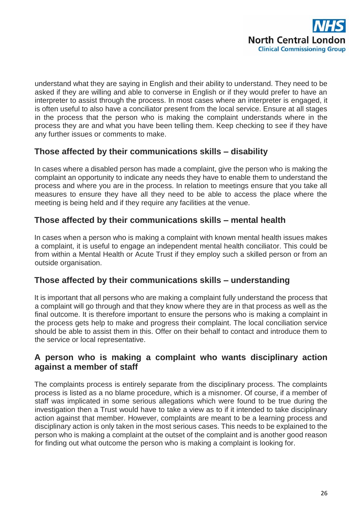

understand what they are saying in English and their ability to understand. They need to be asked if they are willing and able to converse in English or if they would prefer to have an interpreter to assist through the process. In most cases where an interpreter is engaged, it is often useful to also have a conciliator present from the local service. Ensure at all stages in the process that the person who is making the complaint understands where in the process they are and what you have been telling them. Keep checking to see if they have any further issues or comments to make.

# **Those affected by their communications skills – disability**

In cases where a disabled person has made a complaint, give the person who is making the complaint an opportunity to indicate any needs they have to enable them to understand the process and where you are in the process. In relation to meetings ensure that you take all measures to ensure they have all they need to be able to access the place where the meeting is being held and if they require any facilities at the venue.

# **Those affected by their communications skills – mental health**

In cases when a person who is making a complaint with known mental health issues makes a complaint, it is useful to engage an independent mental health conciliator. This could be from within a Mental Health or Acute Trust if they employ such a skilled person or from an outside organisation.

## **Those affected by their communications skills – understanding**

It is important that all persons who are making a complaint fully understand the process that a complaint will go through and that they know where they are in that process as well as the final outcome. It is therefore important to ensure the persons who is making a complaint in the process gets help to make and progress their complaint. The local conciliation service should be able to assist them in this. Offer on their behalf to contact and introduce them to the service or local representative.

## **A person who is making a complaint who wants disciplinary action against a member of staff**

The complaints process is entirely separate from the disciplinary process. The complaints process is listed as a no blame procedure, which is a misnomer. Of course, if a member of staff was implicated in some serious allegations which were found to be true during the investigation then a Trust would have to take a view as to if it intended to take disciplinary action against that member. However, complaints are meant to be a learning process and disciplinary action is only taken in the most serious cases. This needs to be explained to the person who is making a complaint at the outset of the complaint and is another good reason for finding out what outcome the person who is making a complaint is looking for.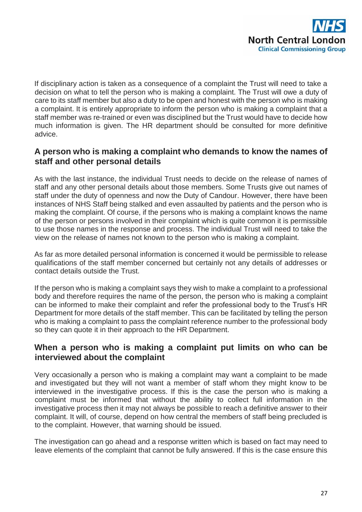

If disciplinary action is taken as a consequence of a complaint the Trust will need to take a decision on what to tell the person who is making a complaint. The Trust will owe a duty of care to its staff member but also a duty to be open and honest with the person who is making a complaint. It is entirely appropriate to inform the person who is making a complaint that a staff member was re-trained or even was disciplined but the Trust would have to decide how much information is given. The HR department should be consulted for more definitive advice.

## **A person who is making a complaint who demands to know the names of staff and other personal details**

As with the last instance, the individual Trust needs to decide on the release of names of staff and any other personal details about those members. Some Trusts give out names of staff under the duty of openness and now the Duty of Candour. However, there have been instances of NHS Staff being stalked and even assaulted by patients and the person who is making the complaint. Of course, if the persons who is making a complaint knows the name of the person or persons involved in their complaint which is quite common it is permissible to use those names in the response and process. The individual Trust will need to take the view on the release of names not known to the person who is making a complaint.

As far as more detailed personal information is concerned it would be permissible to release qualifications of the staff member concerned but certainly not any details of addresses or contact details outside the Trust.

If the person who is making a complaint says they wish to make a complaint to a professional body and therefore requires the name of the person, the person who is making a complaint can be informed to make their complaint and refer the professional body to the Trust's HR Department for more details of the staff member. This can be facilitated by telling the person who is making a complaint to pass the complaint reference number to the professional body so they can quote it in their approach to the HR Department.

## **When a person who is making a complaint put limits on who can be interviewed about the complaint**

Very occasionally a person who is making a complaint may want a complaint to be made and investigated but they will not want a member of staff whom they might know to be interviewed in the investigative process. If this is the case the person who is making a complaint must be informed that without the ability to collect full information in the investigative process then it may not always be possible to reach a definitive answer to their complaint. It will, of course, depend on how central the members of staff being precluded is to the complaint. However, that warning should be issued.

The investigation can go ahead and a response written which is based on fact may need to leave elements of the complaint that cannot be fully answered. If this is the case ensure this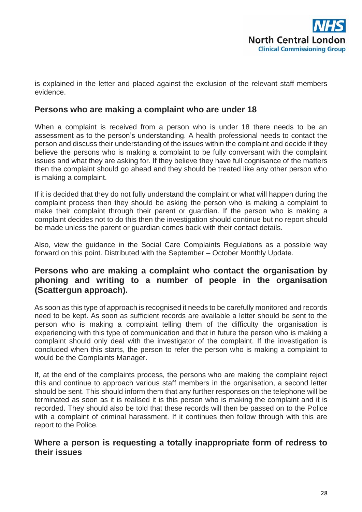

is explained in the letter and placed against the exclusion of the relevant staff members evidence.

## **Persons who are making a complaint who are under 18**

When a complaint is received from a person who is under 18 there needs to be an assessment as to the person's understanding. A health professional needs to contact the person and discuss their understanding of the issues within the complaint and decide if they believe the persons who is making a complaint to be fully conversant with the complaint issues and what they are asking for. If they believe they have full cognisance of the matters then the complaint should go ahead and they should be treated like any other person who is making a complaint.

If it is decided that they do not fully understand the complaint or what will happen during the complaint process then they should be asking the person who is making a complaint to make their complaint through their parent or guardian. If the person who is making a complaint decides not to do this then the investigation should continue but no report should be made unless the parent or guardian comes back with their contact details.

Also, view the guidance in the Social Care Complaints Regulations as a possible way forward on this point. Distributed with the September – October Monthly Update.

# **Persons who are making a complaint who contact the organisation by phoning and writing to a number of people in the organisation (Scattergun approach).**

As soon as this type of approach is recognised it needs to be carefully monitored and records need to be kept. As soon as sufficient records are available a letter should be sent to the person who is making a complaint telling them of the difficulty the organisation is experiencing with this type of communication and that in future the person who is making a complaint should only deal with the investigator of the complaint. If the investigation is concluded when this starts, the person to refer the person who is making a complaint to would be the Complaints Manager.

If, at the end of the complaints process, the persons who are making the complaint reject this and continue to approach various staff members in the organisation, a second letter should be sent. This should inform them that any further responses on the telephone will be terminated as soon as it is realised it is this person who is making the complaint and it is recorded. They should also be told that these records will then be passed on to the Police with a complaint of criminal harassment. If it continues then follow through with this are report to the Police.

#### **Where a person is requesting a totally inappropriate form of redress to their issues**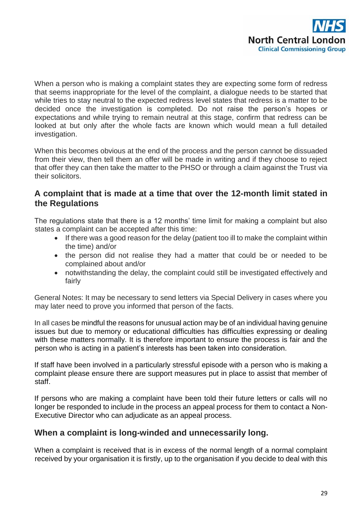

When a person who is making a complaint states they are expecting some form of redress that seems inappropriate for the level of the complaint, a dialogue needs to be started that while tries to stay neutral to the expected redress level states that redress is a matter to be decided once the investigation is completed. Do not raise the person's hopes or expectations and while trying to remain neutral at this stage, confirm that redress can be looked at but only after the whole facts are known which would mean a full detailed investigation.

When this becomes obvious at the end of the process and the person cannot be dissuaded from their view, then tell them an offer will be made in writing and if they choose to reject that offer they can then take the matter to the PHSO or through a claim against the Trust via their solicitors.

#### **A complaint that is made at a time that over the 12-month limit stated in the Regulations**

The regulations state that there is a 12 months' time limit for making a complaint but also states a complaint can be accepted after this time:

- If there was a good reason for the delay (patient too ill to make the complaint within the time) and/or
- the person did not realise they had a matter that could be or needed to be complained about and/or
- notwithstanding the delay, the complaint could still be investigated effectively and fairly

General Notes: It may be necessary to send letters via Special Delivery in cases where you may later need to prove you informed that person of the facts.

In all cases be mindful the reasons for unusual action may be of an individual having genuine issues but due to memory or educational difficulties has difficulties expressing or dealing with these matters normally. It is therefore important to ensure the process is fair and the person who is acting in a patient's interests has been taken into consideration.

If staff have been involved in a particularly stressful episode with a person who is making a complaint please ensure there are support measures put in place to assist that member of staff.

If persons who are making a complaint have been told their future letters or calls will no longer be responded to include in the process an appeal process for them to contact a Non-Executive Director who can adjudicate as an appeal process.

## **When a complaint is long-winded and unnecessarily long.**

When a complaint is received that is in excess of the normal length of a normal complaint received by your organisation it is firstly, up to the organisation if you decide to deal with this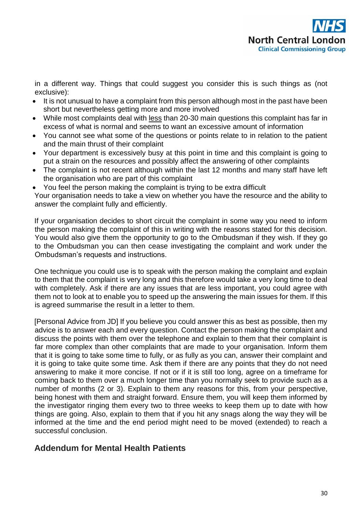in a different way. Things that could suggest you consider this is such things as (not exclusive):

- It is not unusual to have a complaint from this person although most in the past have been short but nevertheless getting more and more involved
- While most complaints deal with less than 20-30 main questions this complaint has far in excess of what is normal and seems to want an excessive amount of information
- You cannot see what some of the questions or points relate to in relation to the patient and the main thrust of their complaint
- Your department is excessively busy at this point in time and this complaint is going to put a strain on the resources and possibly affect the answering of other complaints
- The complaint is not recent although within the last 12 months and many staff have left the organisation who are part of this complaint
- You feel the person making the complaint is trying to be extra difficult

Your organisation needs to take a view on whether you have the resource and the ability to answer the complaint fully and efficiently.

If your organisation decides to short circuit the complaint in some way you need to inform the person making the complaint of this in writing with the reasons stated for this decision. You would also give them the opportunity to go to the Ombudsman if they wish. If they go to the Ombudsman you can then cease investigating the complaint and work under the Ombudsman's requests and instructions.

One technique you could use is to speak with the person making the complaint and explain to them that the complaint is very long and this therefore would take a very long time to deal with completely. Ask if there are any issues that are less important, you could agree with them not to look at to enable you to speed up the answering the main issues for them. If this is agreed summarise the result in a letter to them.

[Personal Advice from JD] If you believe you could answer this as best as possible, then my advice is to answer each and every question. Contact the person making the complaint and discuss the points with them over the telephone and explain to them that their complaint is far more complex than other complaints that are made to your organisation. Inform them that it is going to take some time to fully, or as fully as you can, answer their complaint and it is going to take quite some time. Ask them if there are any points that they do not need answering to make it more concise. If not or if it is still too long, agree on a timeframe for coming back to them over a much longer time than you normally seek to provide such as a number of months (2 or 3). Explain to them any reasons for this, from your perspective, being honest with them and straight forward. Ensure them, you will keep them informed by the investigator ringing them every two to three weeks to keep them up to date with how things are going. Also, explain to them that if you hit any snags along the way they will be informed at the time and the end period might need to be moved (extended) to reach a successful conclusion.

# **Addendum for Mental Health Patients**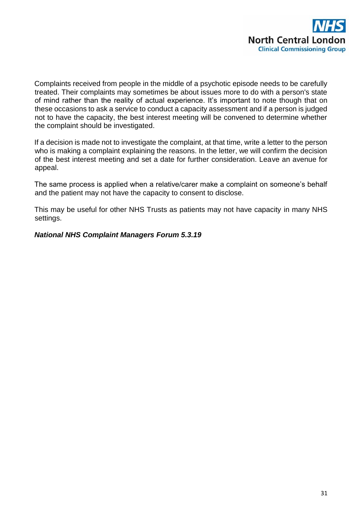

Complaints received from people in the middle of a psychotic episode needs to be carefully treated. Their complaints may sometimes be about issues more to do with a person's state of mind rather than the reality of actual experience. It's important to note though that on these occasions to ask a service to conduct a capacity assessment and if a person is judged not to have the capacity, the best interest meeting will be convened to determine whether the complaint should be investigated.

If a decision is made not to investigate the complaint, at that time, write a letter to the person who is making a complaint explaining the reasons. In the letter, we will confirm the decision of the best interest meeting and set a date for further consideration. Leave an avenue for appeal.

The same process is applied when a relative/carer make a complaint on someone's behalf and the patient may not have the capacity to consent to disclose.

This may be useful for other NHS Trusts as patients may not have capacity in many NHS settings.

#### *National NHS Complaint Managers Forum 5.3.19*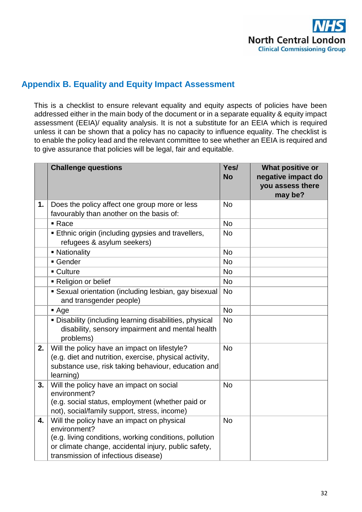

# **Appendix B. Equality and Equity Impact Assessment**

This is a checklist to ensure relevant equality and equity aspects of policies have been addressed either in the main body of the document or in a separate equality & equity impact assessment (EEIA)/ equality analysis. It is not a substitute for an EEIA which is required unless it can be shown that a policy has no capacity to influence equality. The checklist is to enable the policy lead and the relevant committee to see whether an EEIA is required and to give assurance that policies will be legal, fair and equitable.

|    | <b>Challenge questions</b>                                                                                                                                                                                          | Yes/<br><b>No</b> | What positive or<br>negative impact do<br>you assess there<br>may be? |
|----|---------------------------------------------------------------------------------------------------------------------------------------------------------------------------------------------------------------------|-------------------|-----------------------------------------------------------------------|
| 1. | Does the policy affect one group more or less<br>favourably than another on the basis of:                                                                                                                           | <b>No</b>         |                                                                       |
|    | $\blacksquare$ Race                                                                                                                                                                                                 | <b>No</b>         |                                                                       |
|    | <b>Ethnic origin (including gypsies and travellers,</b><br>refugees & asylum seekers)                                                                                                                               | <b>No</b>         |                                                                       |
|    | • Nationality                                                                                                                                                                                                       | <b>No</b>         |                                                                       |
|    | Gender                                                                                                                                                                                                              | <b>No</b>         |                                                                       |
|    | ■ Culture                                                                                                                                                                                                           | <b>No</b>         |                                                                       |
|    | Religion or belief                                                                                                                                                                                                  | <b>No</b>         |                                                                       |
|    | • Sexual orientation (including lesbian, gay bisexual<br>and transgender people)                                                                                                                                    | <b>No</b>         |                                                                       |
|    | Age                                                                                                                                                                                                                 | <b>No</b>         |                                                                       |
|    | . Disability (including learning disabilities, physical<br>disability, sensory impairment and mental health<br>problems)                                                                                            | <b>No</b>         |                                                                       |
| 2. | Will the policy have an impact on lifestyle?<br>(e.g. diet and nutrition, exercise, physical activity,<br>substance use, risk taking behaviour, education and<br>learning)                                          | <b>No</b>         |                                                                       |
| 3. | Will the policy have an impact on social<br>environment?<br>(e.g. social status, employment (whether paid or<br>not), social/family support, stress, income)                                                        | <b>No</b>         |                                                                       |
| 4. | Will the policy have an impact on physical<br>environment?<br>(e.g. living conditions, working conditions, pollution<br>or climate change, accidental injury, public safety,<br>transmission of infectious disease) | <b>No</b>         |                                                                       |